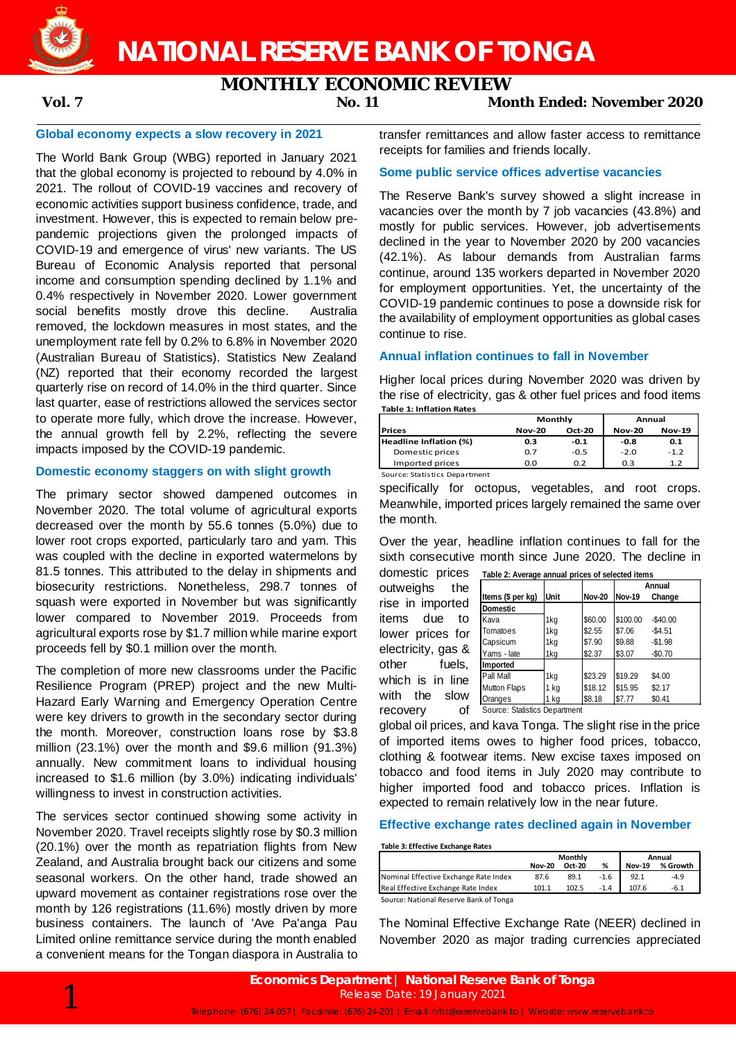

# **MONTHLY ECONOMIC REVIEW**

**Vol. 7 No. 11 Month Ended: November 2020**

# **Global economy expects a slow recovery in 2021**

The World Bank Group (WBG) reported in January 2021 that the global economy is projected to rebound by 4.0% in 2021. The rollout of COVID-19 vaccines and recovery of economic activities support business confidence, trade, and investment. However, this is expected to remain below prepandemic projections given the prolonged impacts of COVID-19 and emergence of virus' new variants. The US Bureau of Economic Analysis reported that personal income and consumption spending declined by 1.1% and 0.4% respectively in November 2020. Lower government social benefits mostly drove this decline. Australia removed, the lockdown measures in most states, and the unemployment rate fell by 0.2% to 6.8% in November 2020 (Australian Bureau of Statistics). Statistics New Zealand (NZ) reported that their economy recorded the largest quarterly rise on record of 14.0% in the third quarter. Since last quarter, ease of restrictions allowed the services sector to operate more fully, which drove the increase. However, the annual growth fell by 2.2%, reflecting the severe impacts imposed by the COVID-19 pandemic.

# **Domestic economy staggers on with slight growth**

The primary sector showed dampened outcomes in November 2020. The total volume of agricultural exports decreased over the month by 55.6 tonnes (5.0%) due to lower root crops exported, particularly taro and yam. This was coupled with the decline in exported watermelons by 81.5 tonnes. This attributed to the delay in shipments and biosecurity restrictions. Nonetheless, 298.7 tonnes of squash were exported in November but was significantly lower compared to November 2019. Proceeds from agricultural exports rose by \$1.7 million while marine export proceeds fell by \$0.1 million over the month.

The completion of more new classrooms under the Pacific Resilience Program (PREP) project and the new Multi-Hazard Early Warning and Emergency Operation Centre were key drivers to growth in the secondary sector during the month. Moreover, construction loans rose by \$3.8 million (23.1%) over the month and \$9.6 million (91.3%) annually. New commitment loans to individual housing increased to \$1.6 million (by 3.0%) indicating individuals' willingness to invest in construction activities.

The services sector continued showing some activity in November 2020. Travel receipts slightly rose by \$0.3 million (20.1%) over the month as repatriation flights from New Zealand, and Australia brought back our citizens and some seasonal workers. On the other hand, trade showed an upward movement as container registrations rose over the month by 126 registrations (11.6%) mostly driven by more business containers. The launch of 'Ave Pa'anga Pau Limited online remittance service during the month enabled a convenient means for the Tongan diaspora in Australia to

1

transfer remittances and allow faster access to remittance receipts for families and friends locally.

# **Some public service offices advertise vacancies**

The Reserve Bank's survey showed a slight increase in vacancies over the month by 7 job vacancies (43.8%) and mostly for public services. However, job advertisements declined in the year to November 2020 by 200 vacancies (42.1%). As labour demands from Australian farms continue, around 135 workers departed in November 2020 for employment opportunities. Yet, the uncertainty of the COVID-19 pandemic continues to pose a downside risk for the availability of employment opportunities as global cases continue to rise.

### **Annual inflation continues to fall in November**

Higher local prices during November 2020 was driven by the rise of electricity, gas & other fuel prices and food items **Table 1: Inflation Rates**

|                               | Monthly       |               | Annual        |               |  |
|-------------------------------|---------------|---------------|---------------|---------------|--|
| <b>Prices</b>                 | <b>Nov-20</b> | <b>Oct-20</b> | <b>Nov-20</b> | <b>Nov-19</b> |  |
| Headline Inflation (%)        | 0.3           | $-0.1$        | -0.8          | 0.1           |  |
| Domestic prices               | 0.7           | $-0.5$        | $-2.0$        | $-1.2$        |  |
| Imported prices               | 0.0           | 0.2           | 0.3           | 1.2           |  |
| Source: Statistics Department |               |               |               |               |  |

specifically for octopus, vegetables, and root crops. Meanwhile, imported prices largely remained the same over the month.

Over the year, headline inflation continues to fall for the sixth consecutive month since June 2020. The decline in

domestic prices **Table 2: Average annual prices of selected items** outweighs the rise in imported items due to lower prices for electricity, gas & other fuels, which is in line with the slow recovery

|                               |      |               | Annual   |           |  |
|-------------------------------|------|---------------|----------|-----------|--|
| Items (\$ per kg)             | Unit | <b>Nov-20</b> | Nov-19   | Change    |  |
| <b>Domestic</b>               |      |               |          |           |  |
| Kava                          | 1kg  | \$60.00       | \$100.00 | $-$40.00$ |  |
| Tomatoes                      | 1kg  | \$2.55        | \$7.06   | $-$4.51$  |  |
| Capsicum                      | 1kg  | \$7.90        | \$9.88   | $-$1.98$  |  |
| Yams - late                   | 1kg  | \$2.37        | \$3.07   | $-$0.70$  |  |
| Imported                      |      |               |          |           |  |
| Pall Mall                     | 1kg  | \$23.29       | \$19.29  | \$4.00    |  |
| <b>Mutton Flaps</b>           | 1 kg | \$18.12       | \$15.95  | \$2.17    |  |
| Oranges                       | 1 kg | \$8.18        | \$7.77   | \$0.41    |  |
| Source: Statistics Department |      |               |          |           |  |

global oil prices, and kava Tonga. The slight rise in the price of imported items owes to higher food prices, tobacco, clothing & footwear items. New excise taxes imposed on tobacco and food items in July 2020 may contribute to higher imported food and tobacco prices. Inflation is expected to remain relatively low in the near future.

## **Effective exchange rates declined again in November**

**Table 3: Effective Exchange Rates**

|                                        |               | Monthly | Annual |               |          |
|----------------------------------------|---------------|---------|--------|---------------|----------|
|                                        | <b>Nov-20</b> | Oct-20  | %      | <b>Nov-19</b> | % Growth |
| Nominal Effective Exchange Rate Index  | 87.6          | 89.1    | -1.6   | 92.1          | $-4.9$   |
| Real Effective Exchange Rate Index     | 101.1         | 102.5   | $-1.4$ | 107.6         | $-6.1$   |
| Source: National Reserve Bank of Tonga |               |         |        |               |          |

The Nominal Effective Exchange Rate (NEER) declined in November 2020 as major trading currencies appreciated

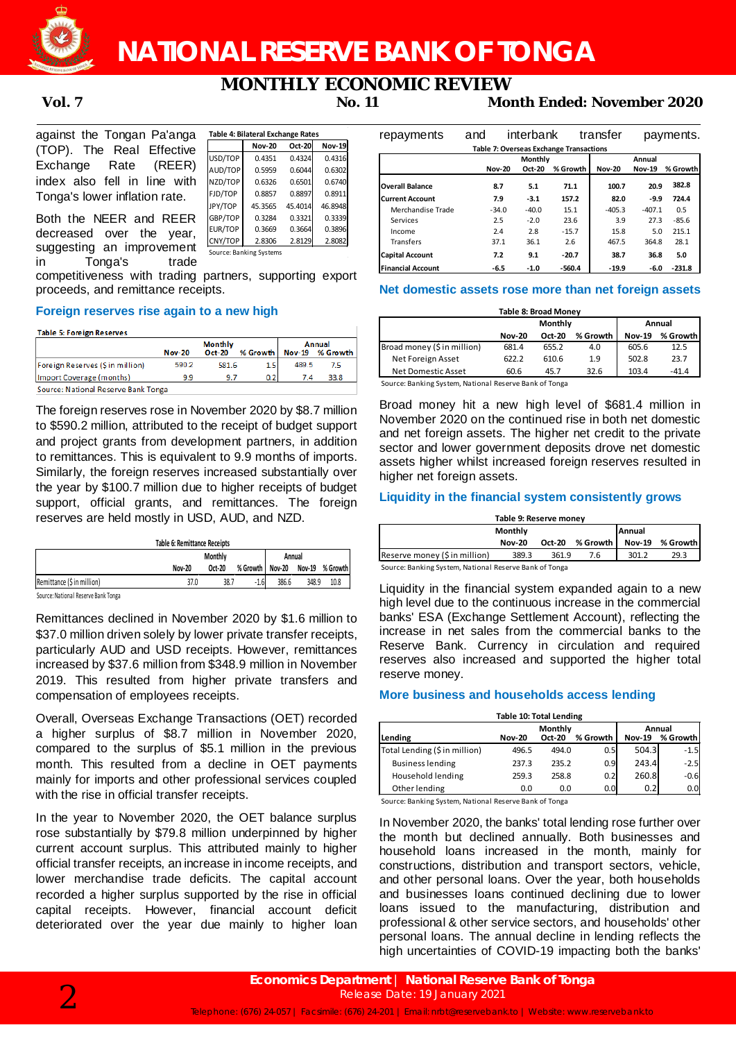

**NATIONAL RESERVE BANK OF TONGA**

# **MONTHLY ECONOMIC REVIEW**

**Vol. 7 No. 11 Month Ended: November 2020**

| against the Tongan Pa'anga    |  |  |  |  |  |  |
|-------------------------------|--|--|--|--|--|--|
| (TOP). The Real Effective     |  |  |  |  |  |  |
| Exchange Rate (REER)          |  |  |  |  |  |  |
| index also fell in line with  |  |  |  |  |  |  |
| Tonga's lower inflation rate. |  |  |  |  |  |  |

|         |               | -200000 |               |
|---------|---------------|---------|---------------|
|         | <b>Nov-20</b> | Oct-20  | <b>Nov-19</b> |
| USD/TOP | 0.4351        | 0.4324  | 0.4316        |
| AUD/TOP | 0.5959        | 0.6044  | 0.6302        |
| NZD/TOP | 0.6326        | 0.6501  | 0.6740        |
| FJD/TOP | 0.8857        | 0.8897  | 0.8911        |
| JPY/TOP | 45.3565       | 45.4014 | 46.8948       |
| GBP/TOP | 0.3284        | 0.3321  | 0.3339        |
| EUR/TOP | 0.3669        | 0.3664  | 0.3896        |
| CNY/TOP | 2.8306        | 2.8129  | 2.8082        |

Source: Banking Systems

**Table 4: Bilateral Exchange Rates**

Both the NEER and REER decreased over the year, suggesting an improvement  $\frac{\text{CNY/TOP} - 2.8306}{\text{Source: Banking Systems}}$  2.8082 in Tonga's trade

competitiveness with trading partners, supporting export proceeds, and remittance receipts.

# **Foreign reserves rise again to a new high**

#### Table 5: Foreign Reserves

|                                     | <b>Monthly</b> |        |          | Annual |                 |  |
|-------------------------------------|----------------|--------|----------|--------|-----------------|--|
|                                     | <b>Nov-20</b>  | Oct-20 | % Growth |        | Nov-19 % Growth |  |
| Foreign Reserves (Sin million)      | 590.2          | 581.6  | 1.5      | 489.5  | 7.5             |  |
| Import Coverage (months)            | 9.9            | 9.7    | 0.2      | 7.4    | 33.8            |  |
| Source: National Reserve Bank Tonga |                |        |          |        |                 |  |

The foreign reserves rose in November 2020 by \$8.7 million to \$590.2 million, attributed to the receipt of budget support and project grants from development partners, in addition to remittances. This is equivalent to 9.9 months of imports. Similarly, the foreign reserves increased substantially over the year by \$100.7 million due to higher receipts of budget support, official grants, and remittances. The foreign reserves are held mostly in USD, AUD, and NZD.

| Table 6: Remittance Receipts |                |        |                 |        |       |                 |  |
|------------------------------|----------------|--------|-----------------|--------|-------|-----------------|--|
|                              | <b>Monthly</b> |        |                 | Annual |       |                 |  |
|                              | Nov-20         | Oct-20 | % Growth Nov-20 |        |       | Nov-19 % Growth |  |
| Remittance (\$ in million)   | 37.0           | 38.7   | $-1.6$          | 386.6  | 348.9 | 10.8            |  |
| .<br>- - -                   |                |        |                 |        |       |                 |  |

Source: National Reserve Bank Tonga

Remittances declined in November 2020 by \$1.6 million to \$37.0 million driven solely by lower private transfer receipts, particularly AUD and USD receipts. However, remittances increased by \$37.6 million from \$348.9 million in November 2019. This resulted from higher private transfers and compensation of employees receipts.

Overall, Overseas Exchange Transactions (OET) recorded a higher surplus of \$8.7 million in November 2020, compared to the surplus of \$5.1 million in the previous month. This resulted from a decline in OET payments mainly for imports and other professional services coupled with the rise in official transfer receipts.

In the year to November 2020, the OET balance surplus rose substantially by \$79.8 million underpinned by higher current account surplus. This attributed mainly to higher official transfer receipts, an increase in income receipts, and lower merchandise trade deficits. The capital account recorded a higher surplus supported by the rise in official capital receipts. However, financial account deficit deteriorated over the year due mainly to higher loan

| repayments               | and           | interbank      |                                                | transfer      |               | payments. |
|--------------------------|---------------|----------------|------------------------------------------------|---------------|---------------|-----------|
|                          |               |                | <b>Table 7: Overseas Exchange Transactions</b> |               |               |           |
|                          |               | <b>Monthly</b> |                                                |               | Annual        |           |
|                          | <b>Nov-20</b> | Oct-20         | % Growth                                       | <b>Nov-20</b> | <b>Nov-19</b> | % Growth  |
| <b>Overall Balance</b>   | 8.7           | 5.1            | 71.1                                           | 100.7         | 20.9          | 382.8     |
| <b>Current Account</b>   | 7.9           | $-3.1$         | 157.2                                          | 82.0          | $-9.9$        | 724.4     |
| Merchandise Trade        | $-34.0$       | $-40.0$        | 15.1                                           | $-405.3$      | $-407.1$      | 0.5       |
| Services                 | 2.5           | $-2.0$         | 23.6                                           | 3.9           | 27.3          | $-85.6$   |
| Income                   | 2.4           | 2.8            | $-15.7$                                        | 15.8          | 5.0           | 215.1     |
| <b>Transfers</b>         | 37.1          | 36.1           | 2.6                                            | 467.5         | 364.8         | 28.1      |
| <b>Capital Account</b>   | 7.2           | 9.1            | $-20.7$                                        | 38.7          | 36.8          | 5.0       |
| <b>Financial Account</b> | -6.5          | $-1.0$         | $-560.4$                                       | $-19.9$       | $-6.0$        | $-231.8$  |

## **Net domestic assets rose more than net foreign assets**

| <b>Table 8: Broad Money</b> |               |        |          |               |          |  |
|-----------------------------|---------------|--------|----------|---------------|----------|--|
|                             | Monthly       |        |          |               | Annual   |  |
|                             | <b>Nov-20</b> | Oct-20 | % Growth | <b>Nov-19</b> | % Growth |  |
| Broad money (\$ in million) | 681.4         | 655.2  | 4.0      | 605.6         | 12.5     |  |
| Net Foreign Asset           | 622.2         | 610.6  | 1.9      | 502.8         | 23.7     |  |
| Net Domestic Asset          | 60.6          | 45.7   | 32.6     | 103.4         | $-41.4$  |  |

Source: Banking System, National Reserve Bank of Tonga

Broad money hit a new high level of \$681.4 million in November 2020 on the continued rise in both net domestic and net foreign assets. The higher net credit to the private sector and lower government deposits drove net domestic assets higher whilst increased foreign reserves resulted in higher net foreign assets.

# **Liquidity in the financial system consistently grows**

| Table 9: Reserve money                                                                                                                                                                                                        |                          |               |            |               |          |  |  |
|-------------------------------------------------------------------------------------------------------------------------------------------------------------------------------------------------------------------------------|--------------------------|---------------|------------|---------------|----------|--|--|
|                                                                                                                                                                                                                               | <b>Annual</b><br>Monthly |               |            |               |          |  |  |
|                                                                                                                                                                                                                               | <b>Nov-20</b>            | <b>Oct-20</b> | % Growth l | <b>Nov-19</b> | % Growth |  |  |
| Reserve money (\$ in million)                                                                                                                                                                                                 | 389.3                    | 361.9         | 7.6        | 301.2         | 29.3     |  |  |
| The comment of the comment of the comment of the comment of the comment of the comment of the comment of the comment of the comment of the comment of the comment of the comment of the comment of the comment of the comment |                          |               |            |               |          |  |  |

ource: Banking System, National Reserve Bank of Tonga

Liquidity in the financial system expanded again to a new high level due to the continuous increase in the commercial banks' ESA (Exchange Settlement Account), reflecting the increase in net sales from the commercial banks to the Reserve Bank. Currency in circulation and required reserves also increased and supported the higher total reserve money.

#### **More business and households access lending**

|  |  |  | <b>Table 10: Total Lending</b> |
|--|--|--|--------------------------------|
|--|--|--|--------------------------------|

|                               | Monthly       |               |                  | Annual        |          |  |
|-------------------------------|---------------|---------------|------------------|---------------|----------|--|
| Lending                       | <b>Nov-20</b> | <b>Oct-20</b> | % Growth         | <b>Nov-19</b> | % Growth |  |
| Total Lending (\$ in million) | 496.5         | 494.0         | 0.5              | 504.3         | $-1.5$   |  |
| <b>Business lending</b>       | 237.3         | 235.2         | 0.9              | 243.4         | $-2.5$   |  |
| Household lending             | 259.3         | 258.8         | 0.2              | 260.8         | $-0.6$   |  |
| Other lending                 | 0.0           | 0.0           | 0.0 <sub>l</sub> | 0.2           | 0.0      |  |

Source: Banking System, National Reserve Bank of Tonga

In November 2020, the banks' total lending rose further over the month but declined annually. Both businesses and household loans increased in the month, mainly for constructions, distribution and transport sectors, vehicle, and other personal loans. Over the year, both households and businesses loans continued declining due to lower loans issued to the manufacturing, distribution and professional & other service sectors, and households' other personal loans. The annual decline in lending reflects the high uncertainties of COVID-19 impacting both the banks'